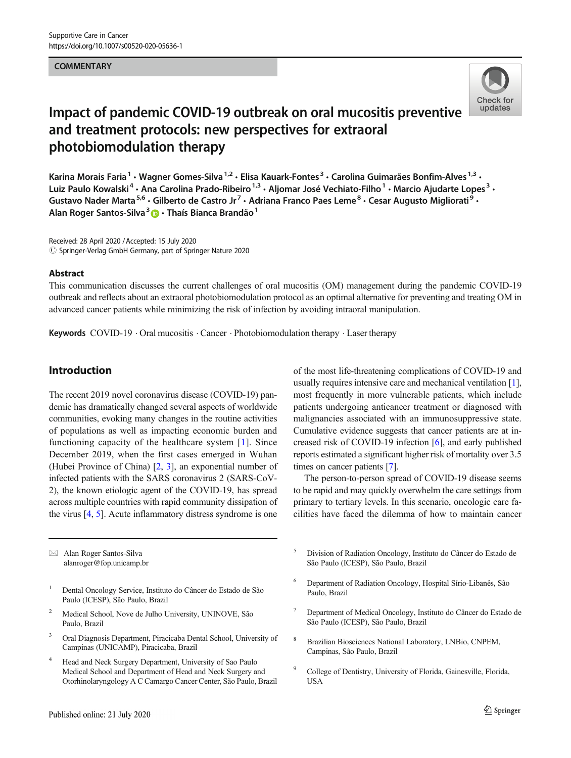#### **COMMENTARY**



# Impact of pandemic COVID-19 outbreak on oral mucositis preventive and treatment protocols: new perspectives for extraoral photobiomodulation therapy

Karina Morais Faria<sup>1</sup> • Wagner Gomes-Silva<sup>1,2</sup> • Elisa Kauark-Fontes<sup>3</sup> • Carolina Guimarães Bonfim-Alves<sup>1,3</sup> • Luiz Paulo Kowalski<sup>4</sup> · Ana Carolina Prado-Ribeiro<sup>1,3</sup> · Aljomar José Vechiato-Filho<sup>1</sup> · Marcio Ajudarte Lopes<sup>3</sup> · Gustavo Nader Marta<sup>5,6</sup> • Gilberto de Castro Jr<sup>7</sup> • Adriana Franco Paes Leme<sup>8</sup> • Cesar Augusto Migliorati<sup>9</sup> • Alan Roger Santos-Silva<sup>3</sup> D · Thaís Bianca Brandão<sup>1</sup>

Received: 28 April 2020 /Accepted: 15 July 2020  $\odot$  Springer-Verlag GmbH Germany, part of Springer Nature 2020

#### Abstract

This communication discusses the current challenges of oral mucositis (OM) management during the pandemic COVID-19 outbreak and reflects about an extraoral photobiomodulation protocol as an optimal alternative for preventing and treating OM in advanced cancer patients while minimizing the risk of infection by avoiding intraoral manipulation.

Keywords  $COVID-19 \cdot$ Oral mucositis  $\cdot$  Cancer  $\cdot$  Photobiomodulation therapy  $\cdot$  Laser therapy

### Introduction

The recent 2019 novel coronavirus disease (COVID-19) pandemic has dramatically changed several aspects of worldwide communities, evoking many changes in the routine activities of populations as well as impacting economic burden and functioning capacity of the healthcare system [\[1\]](#page-3-0). Since December 2019, when the first cases emerged in Wuhan (Hubei Province of China) [[2,](#page-3-0) [3](#page-3-0)], an exponential number of infected patients with the SARS coronavirus 2 (SARS-CoV-2), the known etiologic agent of the COVID-19, has spread across multiple countries with rapid community dissipation of the virus [\[4](#page-3-0), [5](#page-3-0)]. Acute inflammatory distress syndrome is one

 $\boxtimes$  Alan Roger Santos-Silva [alanroger@fop.unicamp.br](mailto:alanroger@fop.unicamp.br)

<sup>1</sup> Dental Oncology Service, Instituto do Câncer do Estado de São Paulo (ICESP), São Paulo, Brazil

- <sup>2</sup> Medical School, Nove de Julho University, UNINOVE, São Paulo, Brazil
- Oral Diagnosis Department, Piracicaba Dental School, University of Campinas (UNICAMP), Piracicaba, Brazil
- <sup>4</sup> Head and Neck Surgery Department, University of Sao Paulo Medical School and Department of Head and Neck Surgery and Otorhinolaryngology A C Camargo Cancer Center, São Paulo, Brazil

of the most life-threatening complications of COVID-19 and usually requires intensive care and mechanical ventilation [[1\]](#page-3-0), most frequently in more vulnerable patients, which include patients undergoing anticancer treatment or diagnosed with malignancies associated with an immunosuppressive state. Cumulative evidence suggests that cancer patients are at increased risk of COVID-19 infection [[6\]](#page-3-0), and early published reports estimated a significant higher risk of mortality over 3.5 times on cancer patients [[7](#page-3-0)].

The person-to-person spread of COVID-19 disease seems to be rapid and may quickly overwhelm the care settings from primary to tertiary levels. In this scenario, oncologic care facilities have faced the dilemma of how to maintain cancer

- <sup>5</sup> Division of Radiation Oncology, Instituto do Câncer do Estado de São Paulo (ICESP), São Paulo, Brazil
- <sup>6</sup> Department of Radiation Oncology, Hospital Sírio-Libanês, São Paulo, Brazil
- <sup>7</sup> Department of Medical Oncology, Instituto do Câncer do Estado de São Paulo (ICESP), São Paulo, Brazil
- <sup>8</sup> Brazilian Biosciences National Laboratory, LNBio, CNPEM, Campinas, São Paulo, Brazil
- <sup>9</sup> College of Dentistry, University of Florida, Gainesville, Florida, USA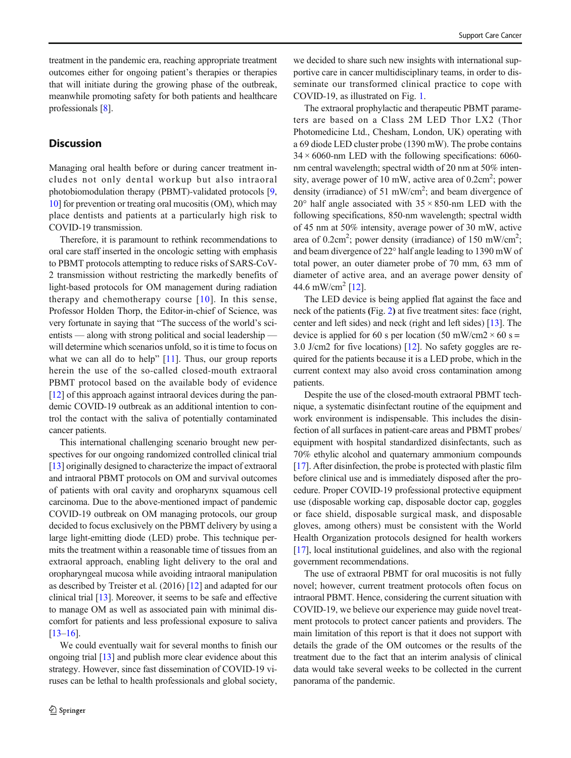treatment in the pandemic era, reaching appropriate treatment outcomes either for ongoing patient's therapies or therapies that will initiate during the growing phase of the outbreak, meanwhile promoting safety for both patients and healthcare professionals [[8\]](#page-3-0).

#### **Discussion**

Managing oral health before or during cancer treatment includes not only dental workup but also intraoral photobiomodulation therapy (PBMT)-validated protocols [[9,](#page-3-0) [10\]](#page-3-0) for prevention or treating oral mucositis (OM), which may place dentists and patients at a particularly high risk to COVID-19 transmission.

Therefore, it is paramount to rethink recommendations to oral care staff inserted in the oncologic setting with emphasis to PBMT protocols attempting to reduce risks of SARS-CoV-2 transmission without restricting the markedly benefits of light-based protocols for OM management during radiation therapy and chemotherapy course [\[10](#page-3-0)]. In this sense, Professor Holden Thorp, the Editor-in-chief of Science, was very fortunate in saying that "The success of the world's scientists — along with strong political and social leadership will determine which scenarios unfold, so it is time to focus on what we can all do to help"  $[11]$  $[11]$ . Thus, our group reports herein the use of the so-called closed-mouth extraoral PBMT protocol based on the available body of evidence [\[12\]](#page-3-0) of this approach against intraoral devices during the pandemic COVID-19 outbreak as an additional intention to control the contact with the saliva of potentially contaminated cancer patients.

This international challenging scenario brought new perspectives for our ongoing randomized controlled clinical trial [\[13\]](#page-3-0) originally designed to characterize the impact of extraoral and intraoral PBMT protocols on OM and survival outcomes of patients with oral cavity and oropharynx squamous cell carcinoma. Due to the above-mentioned impact of pandemic COVID-19 outbreak on OM managing protocols, our group decided to focus exclusively on the PBMT delivery by using a large light-emitting diode (LED) probe. This technique permits the treatment within a reasonable time of tissues from an extraoral approach, enabling light delivery to the oral and oropharyngeal mucosa while avoiding intraoral manipulation as described by Treister et al. (2016) [\[12\]](#page-3-0) and adapted for our clinical trial [[13\]](#page-3-0). Moreover, it seems to be safe and effective to manage OM as well as associated pain with minimal discomfort for patients and less professional exposure to saliva [\[13](#page-3-0)–[16\]](#page-3-0).

We could eventually wait for several months to finish our ongoing trial [[13](#page-3-0)] and publish more clear evidence about this strategy. However, since fast dissemination of COVID-19 viruses can be lethal to health professionals and global society,

we decided to share such new insights with international supportive care in cancer multidisciplinary teams, in order to disseminate our transformed clinical practice to cope with COVID-19, as illustrated on Fig. [1.](#page-2-0)

The extraoral prophylactic and therapeutic PBMT parameters are based on a Class 2M LED Thor LX2 (Thor Photomedicine Ltd., Chesham, London, UK) operating with a 69 diode LED cluster probe (1390 mW). The probe contains  $34 \times 6060$ -nm LED with the following specifications: 6060nm central wavelength; spectral width of 20 nm at 50% intensity, average power of 10 mW, active area of  $0.2 \text{cm}^2$ ; power density (irradiance) of 51 mW/cm<sup>2</sup>; and beam divergence of  $20^{\circ}$  half angle associated with  $35 \times 850$ -nm LED with the following specifications, 850-nm wavelength; spectral width of 45 nm at 50% intensity, average power of 30 mW, active area of 0.2cm<sup>2</sup>; power density (irradiance) of 150 mW/cm<sup>2</sup>; and beam divergence of 22° half angle leading to 1390 mW of total power, an outer diameter probe of 70 mm, 63 mm of diameter of active area, and an average power density of 44.6 mW/cm<sup>2</sup> [[12](#page-3-0)].

The LED device is being applied flat against the face and neck of the patients (Fig. [2](#page-2-0)) at five treatment sites: face (right, center and left sides) and neck (right and left sides) [\[13\]](#page-3-0). The device is applied for 60 s per location (50 mW/cm2  $\times$  60 s = 3.0 J/cm2 for five locations) [\[12\]](#page-3-0). No safety goggles are required for the patients because it is a LED probe, which in the current context may also avoid cross contamination among patients.

Despite the use of the closed-mouth extraoral PBMT technique, a systematic disinfectant routine of the equipment and work environment is indispensable. This includes the disinfection of all surfaces in patient-care areas and PBMT probes/ equipment with hospital standardized disinfectants, such as 70% ethylic alcohol and quaternary ammonium compounds [\[17](#page-3-0)]. After disinfection, the probe is protected with plastic film before clinical use and is immediately disposed after the procedure. Proper COVID-19 professional protective equipment use (disposable working cap, disposable doctor cap, goggles or face shield, disposable surgical mask, and disposable gloves, among others) must be consistent with the World Health Organization protocols designed for health workers [\[17](#page-3-0)], local institutional guidelines, and also with the regional government recommendations.

The use of extraoral PBMT for oral mucositis is not fully novel; however, current treatment protocols often focus on intraoral PBMT. Hence, considering the current situation with COVID-19, we believe our experience may guide novel treatment protocols to protect cancer patients and providers. The main limitation of this report is that it does not support with details the grade of the OM outcomes or the results of the treatment due to the fact that an interim analysis of clinical data would take several weeks to be collected in the current panorama of the pandemic.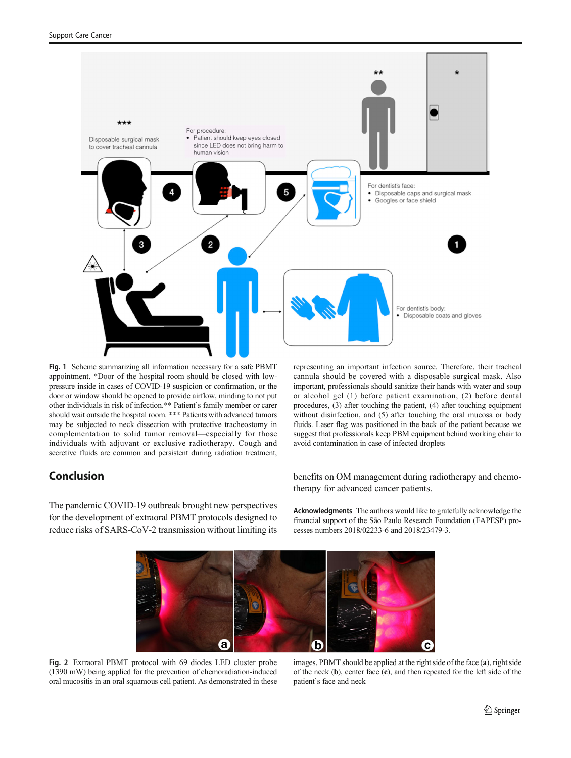<span id="page-2-0"></span>

Fig. 1 Scheme summarizing all information necessary for a safe PBMT appointment. \*Door of the hospital room should be closed with lowpressure inside in cases of COVID-19 suspicion or confirmation, or the door or window should be opened to provide airflow, minding to not put other individuals in risk of infection.\*\* Patient's family member or carer should wait outside the hospital room. \*\*\* Patients with advanced tumors may be subjected to neck dissection with protective tracheostomy in complementation to solid tumor removal—especially for those individuals with adjuvant or exclusive radiotherapy. Cough and secretive fluids are common and persistent during radiation treatment,

## Conclusion

The pandemic COVID-19 outbreak brought new perspectives for the development of extraoral PBMT protocols designed to reduce risks of SARS-CoV-2 transmission without limiting its representing an important infection source. Therefore, their tracheal cannula should be covered with a disposable surgical mask. Also important, professionals should sanitize their hands with water and soup or alcohol gel (1) before patient examination, (2) before dental procedures, (3) after touching the patient, (4) after touching equipment without disinfection, and (5) after touching the oral mucosa or body fluids. Laser flag was positioned in the back of the patient because we suggest that professionals keep PBM equipment behind working chair to avoid contamination in case of infected droplets

benefits on OM management during radiotherapy and chemotherapy for advanced cancer patients.

Acknowledgments The authors would like to gratefully acknowledge the financial support of the São Paulo Research Foundation (FAPESP) processes numbers 2018/02233-6 and 2018/23479-3.



Fig. 2 Extraoral PBMT protocol with 69 diodes LED cluster probe (1390 mW) being applied for the prevention of chemoradiation-induced oral mucositis in an oral squamous cell patient. As demonstrated in these

images, PBMT should be applied at the right side of the face (a), right side of the neck (b), center face (c), and then repeated for the left side of the patient's face and neck